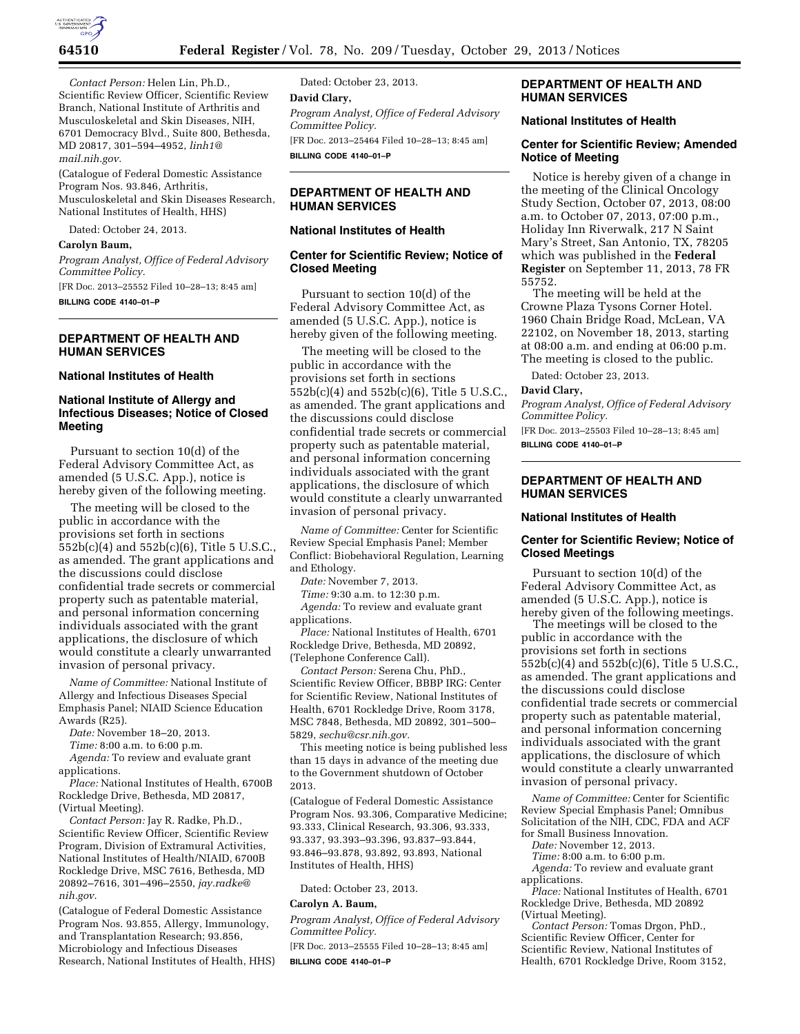

*Contact Person:* Helen Lin, Ph.D., Scientific Review Officer, Scientific Review Branch, National Institute of Arthritis and Musculoskeletal and Skin Diseases, NIH, 6701 Democracy Blvd., Suite 800, Bethesda, MD 20817, 301–594–4952, *[linh1@](mailto:linh1@mail.nih.gov) [mail.nih.gov.](mailto:linh1@mail.nih.gov)* 

(Catalogue of Federal Domestic Assistance Program Nos. 93.846, Arthritis, Musculoskeletal and Skin Diseases Research, National Institutes of Health, HHS)

Dated: October 24, 2013.

#### **Carolyn Baum,**

*Program Analyst, Office of Federal Advisory Committee Policy.* 

[FR Doc. 2013–25552 Filed 10–28–13; 8:45 am] **BILLING CODE 4140–01–P** 

**DEPARTMENT OF HEALTH AND HUMAN SERVICES** 

#### **National Institutes of Health**

# **National Institute of Allergy and Infectious Diseases; Notice of Closed Meeting**

Pursuant to section 10(d) of the Federal Advisory Committee Act, as amended (5 U.S.C. App.), notice is hereby given of the following meeting.

The meeting will be closed to the public in accordance with the provisions set forth in sections 552b(c)(4) and 552b(c)(6), Title 5 U.S.C., as amended. The grant applications and the discussions could disclose confidential trade secrets or commercial property such as patentable material, and personal information concerning individuals associated with the grant applications, the disclosure of which would constitute a clearly unwarranted invasion of personal privacy.

*Name of Committee:* National Institute of Allergy and Infectious Diseases Special Emphasis Panel; NIAID Science Education Awards (R25).

*Date:* November 18–20, 2013.

*Time:* 8:00 a.m. to 6:00 p.m.

*Agenda:* To review and evaluate grant applications.

*Place:* National Institutes of Health, 6700B Rockledge Drive, Bethesda, MD 20817, (Virtual Meeting).

*Contact Person:* Jay R. Radke, Ph.D., Scientific Review Officer, Scientific Review Program, Division of Extramural Activities, National Institutes of Health/NIAID, 6700B Rockledge Drive, MSC 7616, Bethesda, MD 20892–7616, 301–496–2550, *[jay.radke@](mailto:jay.radke@nih.gov) [nih.gov](mailto:jay.radke@nih.gov)*.

(Catalogue of Federal Domestic Assistance Program Nos. 93.855, Allergy, Immunology, and Transplantation Research; 93.856, Microbiology and Infectious Diseases Research, National Institutes of Health, HHS)

Dated: October 23, 2013. **David Clary,**  *Program Analyst, Office of Federal Advisory Committee Policy.*  [FR Doc. 2013–25464 Filed 10–28–13; 8:45 am] **BILLING CODE 4140–01–P** 

# **DEPARTMENT OF HEALTH AND HUMAN SERVICES**

# **National Institutes of Health**

### **Center for Scientific Review; Notice of Closed Meeting**

Pursuant to section 10(d) of the Federal Advisory Committee Act, as amended (5 U.S.C. App.), notice is hereby given of the following meeting.

The meeting will be closed to the public in accordance with the provisions set forth in sections 552b(c)(4) and 552b(c)(6), Title 5 U.S.C., as amended. The grant applications and the discussions could disclose confidential trade secrets or commercial property such as patentable material, and personal information concerning individuals associated with the grant applications, the disclosure of which would constitute a clearly unwarranted invasion of personal privacy.

*Name of Committee:* Center for Scientific Review Special Emphasis Panel; Member Conflict: Biobehavioral Regulation, Learning and Ethology.

*Date:* November 7, 2013.

*Time:* 9:30 a.m. to 12:30 p.m.

*Agenda:* To review and evaluate grant applications.

*Place:* National Institutes of Health, 6701 Rockledge Drive, Bethesda, MD 20892, (Telephone Conference Call).

*Contact Person:* Serena Chu, PhD., Scientific Review Officer, BBBP IRG: Center for Scientific Review, National Institutes of Health, 6701 Rockledge Drive, Room 3178, MSC 7848, Bethesda, MD 20892, 301–500– 5829, *[sechu@csr.nih.gov.](mailto:sechu@csr.nih.gov)* 

This meeting notice is being published less than 15 days in advance of the meeting due to the Government shutdown of October 2013.

(Catalogue of Federal Domestic Assistance Program Nos. 93.306, Comparative Medicine; 93.333, Clinical Research, 93.306, 93.333, 93.337, 93.393–93.396, 93.837–93.844, 93.846–93.878, 93.892, 93.893, National Institutes of Health, HHS)

Dated: October 23, 2013.

### **Carolyn A. Baum,**

*Program Analyst, Office of Federal Advisory Committee Policy.* 

[FR Doc. 2013–25555 Filed 10–28–13; 8:45 am] **BILLING CODE 4140–01–P** 

### **DEPARTMENT OF HEALTH AND HUMAN SERVICES**

#### **National Institutes of Health**

# **Center for Scientific Review; Amended Notice of Meeting**

Notice is hereby given of a change in the meeting of the Clinical Oncology Study Section, October 07, 2013, 08:00 a.m. to October 07, 2013, 07:00 p.m., Holiday Inn Riverwalk, 217 N Saint Mary's Street, San Antonio, TX, 78205 which was published in the **Federal Register** on September 11, 2013, 78 FR 55752.

The meeting will be held at the Crowne Plaza Tysons Corner Hotel. 1960 Chain Bridge Road, McLean, VA 22102, on November 18, 2013, starting at 08:00 a.m. and ending at 06:00 p.m. The meeting is closed to the public.

Dated: October 23, 2013.

#### **David Clary,**

*Program Analyst, Office of Federal Advisory Committee Policy.* 

[FR Doc. 2013–25503 Filed 10–28–13; 8:45 am] **BILLING CODE 4140–01–P** 

# **DEPARTMENT OF HEALTH AND HUMAN SERVICES**

#### **National Institutes of Health**

#### **Center for Scientific Review; Notice of Closed Meetings**

Pursuant to section 10(d) of the Federal Advisory Committee Act, as amended (5 U.S.C. App.), notice is hereby given of the following meetings.

The meetings will be closed to the public in accordance with the provisions set forth in sections 552b(c)(4) and 552b(c)(6), Title 5 U.S.C., as amended. The grant applications and the discussions could disclose confidential trade secrets or commercial property such as patentable material, and personal information concerning individuals associated with the grant applications, the disclosure of which would constitute a clearly unwarranted invasion of personal privacy.

*Name of Committee:* Center for Scientific Review Special Emphasis Panel; Omnibus Solicitation of the NIH, CDC, FDA and ACF for Small Business Innovation.

*Date:* November 12, 2013.

*Time:* 8:00 a.m. to 6:00 p.m.

Agenda: To review and evaluate grant applications.

*Place:* National Institutes of Health, 6701 Rockledge Drive, Bethesda, MD 20892 (Virtual Meeting).

*Contact Person:* Tomas Drgon, PhD., Scientific Review Officer, Center for Scientific Review, National Institutes of Health, 6701 Rockledge Drive, Room 3152,